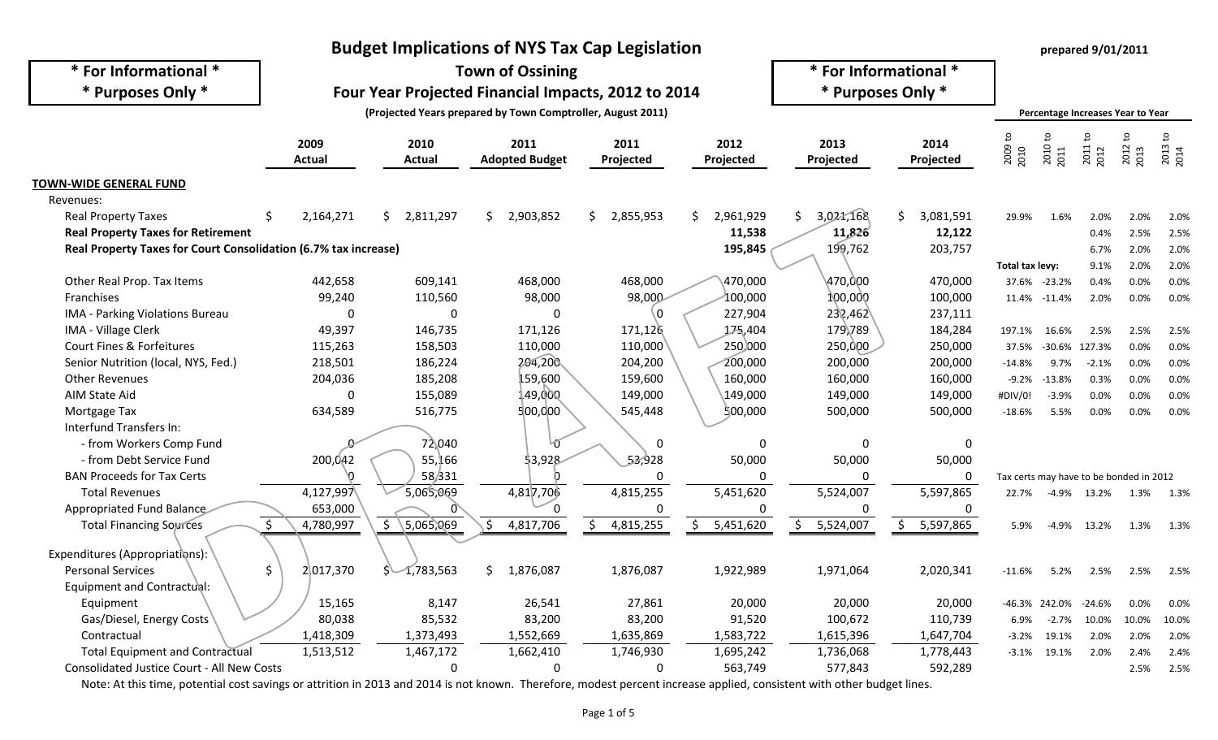|                                                                 |                         | <b>Budget Implications of NYS Tax Cap Legislation</b>       |                               |                   |                   |                   |                                   |                                         |                                                               | prepared 9/01/2011                                            |              |              |
|-----------------------------------------------------------------|-------------------------|-------------------------------------------------------------|-------------------------------|-------------------|-------------------|-------------------|-----------------------------------|-----------------------------------------|---------------------------------------------------------------|---------------------------------------------------------------|--------------|--------------|
| * For Informational *                                           | <b>Town of Ossining</b> |                                                             |                               |                   |                   |                   | * For Informational *             |                                         |                                                               |                                                               |              |              |
| * Purposes Only *                                               |                         | Four Year Projected Financial Impacts, 2012 to 2014         |                               |                   |                   | * Purposes Only * |                                   |                                         |                                                               |                                                               |              |              |
|                                                                 |                         | (Projected Years prepared by Town Comptroller, August 2011) |                               |                   |                   |                   | Percentage Increases Year to Year |                                         |                                                               |                                                               |              |              |
|                                                                 | 2009<br><b>Actual</b>   | 2010<br><b>Actual</b>                                       | 2011<br><b>Adopted Budget</b> | 2011<br>Projected | 2012<br>Projected | 2013<br>Projected | 2014<br>Projected                 | 2009                                    | $\begin{array}{c} \textbf{2010} \\ \textbf{2011} \end{array}$ | $\begin{array}{c} \textbf{2011} \\ \textbf{2012} \end{array}$ | 2012<br>2013 | 2013<br>2014 |
| TOWN-WIDE GENERAL FUND                                          |                         |                                                             |                               |                   |                   |                   |                                   |                                         |                                                               |                                                               |              |              |
| Revenues:                                                       |                         |                                                             |                               |                   |                   |                   |                                   |                                         |                                                               |                                                               |              |              |
| Ś<br><b>Real Property Taxes</b>                                 | 2,164,271               | 2,811,297                                                   | 2,903,852<br>S.               | \$.<br>2,855,953  | 2,961,929<br>S    | 3,021,168<br>\$   | 3,081,591                         | 29.9%                                   | 1.6%                                                          | 2.0%                                                          | 2.0%         | 2.0%         |
| <b>Real Property Taxes for Retirement</b>                       |                         |                                                             |                               |                   | 11,538            | 11,826            | 12,122                            |                                         |                                                               | 0.4%                                                          | 2.5%         | 2.5%         |
| Real Property Taxes for Court Consolidation (6.7% tax increase) |                         |                                                             |                               |                   | 195,845           | 199,762           | 203,757                           |                                         |                                                               | 6.7%                                                          | 2.0%         | 2.0%         |
|                                                                 |                         |                                                             |                               |                   |                   |                   |                                   | Total tax levy:                         |                                                               | 9.1%                                                          | 2.0%         | 2.0%         |
| Other Real Prop. Tax Items                                      | 442,658                 | 609,141                                                     | 468,000                       | 468,000           | 470,000           | 470,000           | 470,000                           |                                         | 37.6% -23.2%                                                  | 0.4%                                                          | 0.0%         | 0.0%         |
| Franchises                                                      | 99,240                  | 110,560                                                     | 98,000                        | 98,000            | 100,000           | 100,000           | 100,000                           |                                         | 11.4% -11.4%                                                  | 2.0%                                                          | 0.0%         | 0.0%         |
| IMA - Parking Violations Bureau                                 | 0                       | 0                                                           | $\Omega$                      | ∩                 | 227,904           | 232,462           | 237,111                           |                                         |                                                               |                                                               |              |              |
| IMA - Village Clerk                                             | 49,397                  | 146,735                                                     | 171,126                       | 171,126           | 175,404           | 179,789           | 184,284                           | 197.1%                                  | 16.6%                                                         | 2.5%                                                          | 2.5%         | 2.5%         |
| Court Fines & Forfeitures                                       | 115,263                 | 158,503                                                     | 110,000                       | 110,000           | 250,000           | 250,000           | 250,000                           | 37.5%                                   | $-30.6%$                                                      | 127.3%                                                        | 0.0%         | 0.0%         |
| Senior Nutrition (local, NYS, Fed.)                             | 218,501                 | 186,224                                                     | 204,200                       | 204,200           | 200,000           | 200,000           | 200,000                           | $-14.8%$                                | 9.7%                                                          | $-2.1%$                                                       | 0.0%         | 0.0%         |
| <b>Other Revenues</b>                                           | 204,036                 | 185,208                                                     | 159,600                       | 159,600           | 160,000           | 160,000           | 160,000                           | $-9.2%$                                 | $-13.8%$                                                      | 0.3%                                                          | 0.0%         | 0.0%         |
| AIM State Aid                                                   | ∩                       | 155,089                                                     | 149,000                       | 149,000           | 149,000           | 149,000           | 149,000                           | #DIV/0!                                 | $-3.9%$                                                       | 0.0%                                                          | 0.0%         | 0.0%         |
| Mortgage Tax                                                    | 634,589                 | 516,775                                                     | 500,000                       | 545,448           | \$00,000          | 500,000           | 500,000                           | $-18.6%$                                | 5.5%                                                          | 0.0%                                                          | 0.0%         | 0.0%         |
| Interfund Transfers In:                                         |                         |                                                             |                               |                   |                   |                   |                                   |                                         |                                                               |                                                               |              |              |
| - from Workers Comp Fund                                        |                         | 72,040                                                      |                               | 0                 | 0                 | 0                 | 0                                 |                                         |                                                               |                                                               |              |              |
| - from Debt Service Fund                                        | 200,042                 | 55,166                                                      | \$3,928                       | 53,928            | 50,000            | 50,000            | 50,000                            |                                         |                                                               |                                                               |              |              |
| <b>BAN Proceeds for Tax Certs</b>                               |                         | 58,331                                                      |                               | $\Omega$          |                   | $\Omega$          | 0                                 | Tax certs may have to be bonded in 2012 |                                                               |                                                               |              |              |
| <b>Total Revenues</b>                                           | 4,127,997               | 5,065,069                                                   | 4,817,706                     | 4,815,255         | 5,451,620         | 5,524,007         | 5,597,865                         | 22.7%                                   |                                                               | -4.9% 13.2%                                                   | 1.3%         | 1.3%         |
| Appropriated Fund Balance                                       | 653,000                 |                                                             |                               |                   |                   |                   | $\cup$                            |                                         |                                                               |                                                               |              |              |
| <b>Total Financing Sources</b><br>Ŝ.                            | 4,780,997               | $$ \ 5,065,069$                                             | 4,817,706<br>$\mathfrak{S}$   | 4,815,255         | 5,451,620         | 5,524,007<br>\$   | 5,597,865<br>Ś.                   | 5.9%                                    | $-4.9%$                                                       | 13.2%                                                         | 1.3%         | 1.3%         |
|                                                                 |                         |                                                             |                               |                   |                   |                   |                                   |                                         |                                                               |                                                               |              |              |
| Expenditures (Appropriations):                                  |                         |                                                             |                               |                   |                   |                   |                                   |                                         |                                                               |                                                               |              |              |
| \$<br><b>Personal Services</b>                                  | 2017,370                | 1,783,563                                                   | 1,876,087<br>S                | 1,876,087         | 1,922,989         | 1,971,064         | 2,020,341                         | $-11.6\%$                               | 5.2%                                                          | 2.5%                                                          | 2.5%         | 2.5%         |
| Equipment and Contractual:                                      |                         |                                                             |                               |                   |                   |                   |                                   |                                         |                                                               |                                                               |              |              |
| Equipment                                                       | 15,165                  | 8,147                                                       | 26,541                        | 27,861            | 20,000            | 20,000            | 20,000                            |                                         |                                                               | -46.3% 242.0% -24.6%                                          | 0.0%         | $0.0\%$      |
| Gas/Diesel, Energy Costs                                        | 80,038                  | 85,532                                                      | 83,200                        | 83,200            | 91,520            | 100,672           | 110,739                           | 6.9%                                    | $-2.7%$                                                       | 10.0%                                                         | 10.0%        | 10.0%        |
| Contractual                                                     | 1,418,309               | 1,373,493                                                   | 1,552,669                     | 1,635,869         | 1,583,722         | 1,615,396         | 1,647,704                         |                                         | $-3.2\%$ 19.1%                                                | 2.0%                                                          | 2.0%         | 2.0%         |
| <b>Total Equipment and Contractual</b>                          | 1,513,512               | 1,467,172                                                   | 1,662,410                     | 1,746,930         | 1,695,242         | 1,736,068         | 1,778,443                         |                                         | $-3.1\%$ 19.1%                                                | 2.0%                                                          | 2.4%         | 2.4%         |
| <b>Consolidated Justice Court - All New Costs</b>               |                         | 0                                                           | 0                             | $\boldsymbol{0}$  | 563,749           | 577,843           | 592,289                           |                                         |                                                               |                                                               |              | 2.5% 2.5%    |

Note: At this time, potential cost savings or attrition in 2013 and 2014 is not known. Therefore, modest percent increase applied, consistent with other budget lines.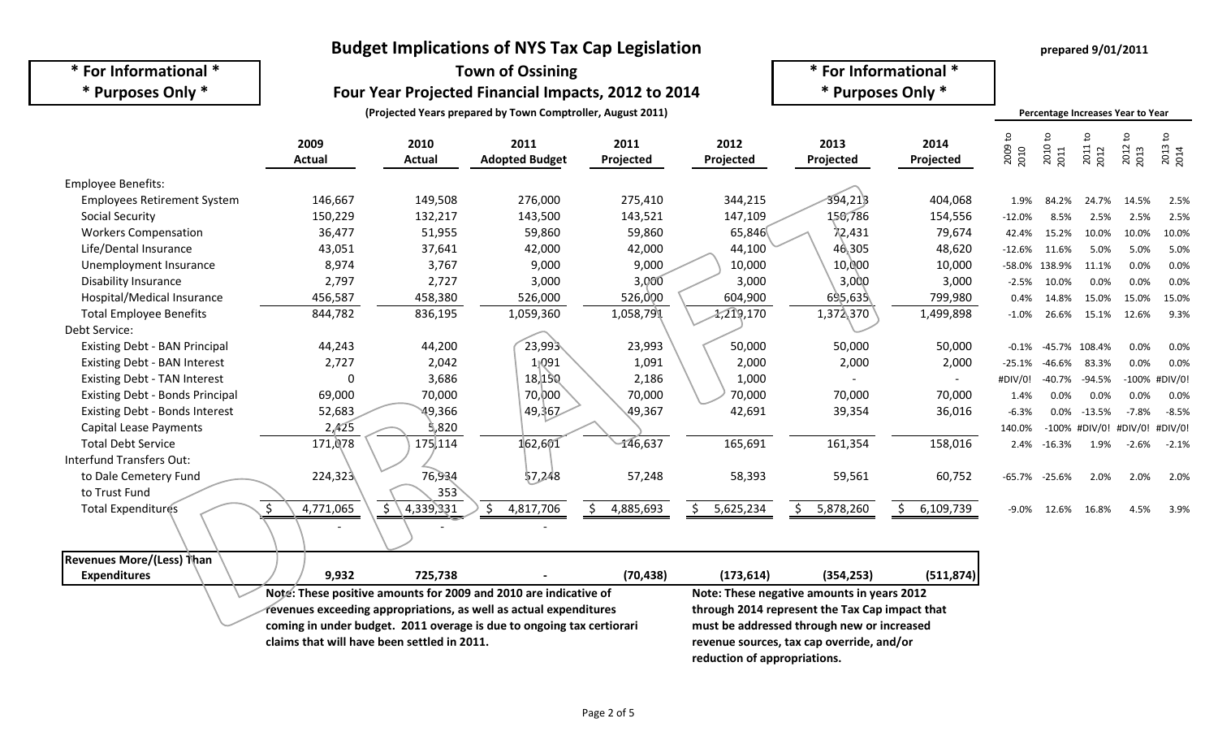|                                                                                                                                                                                                               |                                                                          |                         | <b>Budget Implications of NYS Tax Cap Legislation</b>       |                   |                                                                                                                                            |                                           |                   |              |                                                               | prepared 9/01/2011 |              |               |
|---------------------------------------------------------------------------------------------------------------------------------------------------------------------------------------------------------------|--------------------------------------------------------------------------|-------------------------|-------------------------------------------------------------|-------------------|--------------------------------------------------------------------------------------------------------------------------------------------|-------------------------------------------|-------------------|--------------|---------------------------------------------------------------|--------------------|--------------|---------------|
| * For Informational *                                                                                                                                                                                         |                                                                          |                         | <b>Town of Ossining</b>                                     |                   | For Informational *                                                                                                                        |                                           |                   |              |                                                               |                    |              |               |
| * Purposes Only *                                                                                                                                                                                             | * Purposes Only *<br>Four Year Projected Financial Impacts, 2012 to 2014 |                         |                                                             |                   |                                                                                                                                            |                                           |                   |              |                                                               |                    |              |               |
|                                                                                                                                                                                                               |                                                                          |                         | (Projected Years prepared by Town Comptroller, August 2011) |                   |                                                                                                                                            |                                           |                   |              | Percentage Increases Year to Year                             |                    |              |               |
|                                                                                                                                                                                                               | 2009<br>Actual                                                           | 2010<br>Actual          | 2011<br><b>Adopted Budget</b>                               | 2011<br>Projected | 2012<br>Projected                                                                                                                          | 2013<br>Projected                         | 2014<br>Projected | 2009<br>2010 | $\begin{array}{c} \textbf{2010} \\ \textbf{2011} \end{array}$ | 2011<br>2012       | 2012<br>2013 | 2013<br>2014  |
| <b>Employee Benefits:</b>                                                                                                                                                                                     |                                                                          |                         |                                                             |                   |                                                                                                                                            |                                           |                   |              |                                                               |                    |              |               |
| <b>Employees Retirement System</b>                                                                                                                                                                            | 146,667                                                                  | 149,508                 | 276,000                                                     | 275,410           | 344,215                                                                                                                                    | 394,213                                   | 404,068           | 1.9%         | 84.2%                                                         | 24.7%              | 14.5%        | 2.5%          |
| <b>Social Security</b>                                                                                                                                                                                        | 150,229                                                                  | 132,217                 | 143,500                                                     | 143,521           | 147,109                                                                                                                                    | 156,786                                   | 154,556           | $-12.0%$     | 8.5%                                                          | 2.5%               | 2.5%         | 2.5%          |
| <b>Workers Compensation</b>                                                                                                                                                                                   | 36,477                                                                   | 51,955                  | 59,860                                                      | 59,860            | 65,846                                                                                                                                     | ን2,431                                    | 79,674            | 42.4%        | 15.2%                                                         | 10.0%              | 10.0%        | 10.0%         |
| Life/Dental Insurance                                                                                                                                                                                         | 43,051                                                                   | 37,641                  | 42,000                                                      | 42,000            | 44,100                                                                                                                                     | 46,305                                    | 48,620            | $-12.6%$     | 11.6%                                                         | 5.0%               | 5.0%         | 5.0%          |
| Unemployment Insurance                                                                                                                                                                                        | 8,974                                                                    | 3,767                   | 9,000                                                       | 9,000             | 10,000                                                                                                                                     | 10,000                                    | 10,000            |              | -58.0% 138.9%                                                 | 11.1%              | 0.0%         | 0.0%          |
| <b>Disability Insurance</b>                                                                                                                                                                                   | 2,797                                                                    | 2,727                   | 3,000                                                       | 3,000             | 3,000                                                                                                                                      | 3,000                                     | 3,000             | $-2.5%$      | 10.0%                                                         | 0.0%               | 0.0%         | 0.0%          |
| Hospital/Medical Insurance                                                                                                                                                                                    | 456,587                                                                  | 458,380                 | 526,000                                                     | 526,000           | 604,900                                                                                                                                    | 695,635                                   | 799,980           | 0.4%         | 14.8%                                                         | 15.0%              | 15.0%        | 15.0%         |
| <b>Total Employee Benefits</b>                                                                                                                                                                                | 844,782                                                                  | 836,195                 | 1,059,360                                                   | 1,058,791         | 4,219,170                                                                                                                                  | 1,372,370                                 | 1,499,898         | $-1.0%$      | 26.6%                                                         |                    | 15.1% 12.6%  | 9.3%          |
| Debt Service:                                                                                                                                                                                                 |                                                                          |                         |                                                             |                   |                                                                                                                                            |                                           |                   |              |                                                               |                    |              |               |
| Existing Debt - BAN Principal                                                                                                                                                                                 | 44,243                                                                   | 44,200                  | 23,993                                                      | 23,993            | 50,000                                                                                                                                     | 50,000                                    | 50,000            | $-0.1%$      |                                                               | -45.7% 108.4%      | 0.0%         | 0.0%          |
| <b>Existing Debt - BAN Interest</b>                                                                                                                                                                           | 2,727                                                                    | 2,042                   | 1 <sub>1091</sub>                                           | 1,091             | 2,000                                                                                                                                      | 2,000                                     | 2,000             | $-25.1%$     | -46.6%                                                        | 83.3%              | 0.0%         | 0.0%          |
| <b>Existing Debt - TAN Interest</b>                                                                                                                                                                           | 0                                                                        | 3,686                   | 18, 150                                                     | 2,186             | 1,000                                                                                                                                      |                                           |                   | #DIV/0!      | $-40.7%$                                                      | $-94.5%$           |              | -100% #DIV/0! |
| Existing Debt - Bonds Principal                                                                                                                                                                               | 69,000                                                                   | 70,000                  | 70,000                                                      | 70,000            | 70,000                                                                                                                                     | 70,000                                    | 70,000            | 1.4%         | 0.0%                                                          | $0.0\%$            | 0.0%         | 0.0%          |
| Existing Debt - Bonds Interest                                                                                                                                                                                | 52,683                                                                   | 49,366                  | 49,367                                                      | 49,367            | 42,691                                                                                                                                     | 39,354                                    | 36,016            | $-6.3%$      | 0.0%                                                          | $-13.5%$           | $-7.8%$      | $-8.5%$       |
| Capital Lease Payments                                                                                                                                                                                        | 2,425                                                                    | 3,820                   |                                                             |                   |                                                                                                                                            |                                           |                   | 140.0%       |                                                               | $-100\%$ #DIV/0!   | #DIV/0!      | #DIV/0!       |
| <b>Total Debt Service</b>                                                                                                                                                                                     | 171,078                                                                  | 175,114                 | 162,601                                                     | 146,637           | 165,691                                                                                                                                    | 161,354                                   | 158,016           | 2.4%         | $-16.3%$                                                      | 1.9%               | $-2.6%$      | $-2.1%$       |
| Interfund Transfers Out:                                                                                                                                                                                      |                                                                          |                         |                                                             |                   |                                                                                                                                            |                                           |                   |              |                                                               |                    |              |               |
| to Dale Cemetery Fund                                                                                                                                                                                         | 224,323                                                                  | 76,934                  | \$7,248                                                     | 57,248            | 58,393                                                                                                                                     | 59,561                                    | 60,752            | $-65.7%$     | $-25.6%$                                                      | 2.0%               | 2.0%         | 2.0%          |
| to Trust Fund                                                                                                                                                                                                 |                                                                          | 353                     |                                                             |                   |                                                                                                                                            |                                           |                   |              |                                                               |                    |              |               |
| \$<br><b>Total Expenditures</b>                                                                                                                                                                               | 4,771,065                                                                | $$ \setminus 4,339,331$ | 4,817,706<br>\$                                             | 4,885,693<br>\$   | 5,625,234<br>\$                                                                                                                            | $\zeta$<br>5,878,260                      | \$6,109,739       | $-9.0\%$     | 12.6%                                                         | 16.8%              | 4.5%         | 3.9%          |
| Revenues More/(Less) Than                                                                                                                                                                                     |                                                                          |                         |                                                             |                   |                                                                                                                                            |                                           |                   |              |                                                               |                    |              |               |
| <b>Expenditures</b>                                                                                                                                                                                           | 9,932                                                                    | 725,738                 |                                                             | (70, 438)         | (173, 614)                                                                                                                                 | (354, 253)                                | (511, 874)        |              |                                                               |                    |              |               |
| Note: These positive amounts for 2009 and 2010 are indicative of<br>evenues exceeding appropriations, as well as actual expenditures<br>coming in under budget. 2011 overage is due to ongoing tax certiorari |                                                                          |                         |                                                             |                   | Note: These negative amounts in years 2012<br>through 2014 represent the Tax Cap impact that<br>must be addressed through new or increased |                                           |                   |              |                                                               |                    |              |               |
|                                                                                                                                                                                                               | claims that will have been settled in 2011.                              |                         |                                                             |                   | reduction of appropriations.                                                                                                               | revenue sources, tax cap override, and/or |                   |              |                                                               |                    |              |               |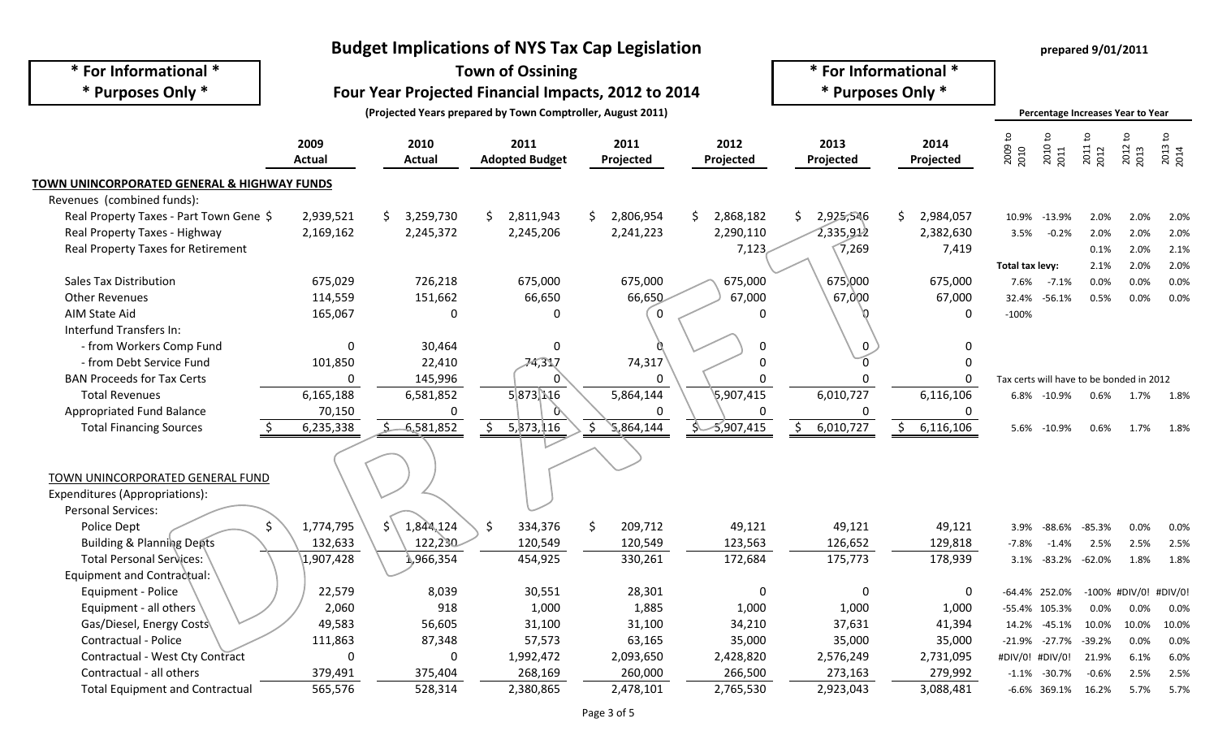|                                                                                                 |                | <b>Budget Implications of NYS Tax Cap Legislation</b>       |                               |                   |                           |                   |                   |                                          |                                                               | prepared 9/01/2011                                            |              |                       |  |  |
|-------------------------------------------------------------------------------------------------|----------------|-------------------------------------------------------------|-------------------------------|-------------------|---------------------------|-------------------|-------------------|------------------------------------------|---------------------------------------------------------------|---------------------------------------------------------------|--------------|-----------------------|--|--|
| * For Informational *                                                                           |                | <b>Town of Ossining</b>                                     | * For Informational *         |                   |                           |                   |                   |                                          |                                                               |                                                               |              |                       |  |  |
| * Purposes Only *                                                                               |                | Four Year Projected Financial Impacts, 2012 to 2014         |                               |                   |                           | * Purposes Only * |                   |                                          |                                                               |                                                               |              |                       |  |  |
|                                                                                                 |                | (Projected Years prepared by Town Comptroller, August 2011) |                               |                   |                           |                   |                   | Percentage Increases Year to Year        |                                                               |                                                               |              |                       |  |  |
|                                                                                                 | 2009<br>Actual | 2010<br><b>Actual</b>                                       | 2011<br><b>Adopted Budget</b> | 2011<br>Projected | 2012<br>Projected         | 2013<br>Projected | 2014<br>Projected | 2009 1<br>2010                           | $\begin{array}{c} \textbf{2010} \\ \textbf{2011} \end{array}$ | $\begin{array}{c} \textbf{2011} \\ \textbf{2012} \end{array}$ | 2012<br>2013 | 2013<br>2014          |  |  |
| TOWN UNINCORPORATED GENERAL & HIGHWAY FUNDS                                                     |                |                                                             |                               |                   |                           |                   |                   |                                          |                                                               |                                                               |              |                       |  |  |
| Revenues (combined funds):                                                                      |                |                                                             |                               |                   |                           |                   |                   |                                          |                                                               |                                                               |              |                       |  |  |
| Real Property Taxes - Part Town Gene \$                                                         | 2,939,521      | 3,259,730                                                   | 2,811,943<br>Ś                | 2,806,954<br>S.   | 2,868,182                 | \$<br>2,925,546   | Ŝ.<br>2,984,057   | 10.9%                                    | $-13.9%$                                                      | 2.0%                                                          | 2.0%         | 2.0%                  |  |  |
| Real Property Taxes - Highway                                                                   | 2,169,162      | 2,245,372                                                   | 2,245,206                     | 2,241,223         | 2,290,110                 | 2,335,912         | 2,382,630         | 3.5%                                     | $-0.2%$                                                       | 2.0%                                                          | 2.0%         | 2.0%                  |  |  |
| Real Property Taxes for Retirement                                                              |                |                                                             |                               |                   | 7,123                     | 7,269             | 7,419             |                                          |                                                               | 0.1%                                                          | 2.0%         | 2.1%                  |  |  |
|                                                                                                 |                |                                                             |                               |                   |                           |                   |                   | Total tax levy:                          |                                                               | 2.1%                                                          | 2.0%         | 2.0%                  |  |  |
| <b>Sales Tax Distribution</b>                                                                   | 675,029        | 726,218                                                     | 675,000                       | 675,000           | 675,000                   | 675,000           | 675,000           | 7.6%                                     | $-7.1%$                                                       | 0.0%                                                          | 0.0%         | 0.0%                  |  |  |
| <b>Other Revenues</b>                                                                           | 114,559        | 151,662                                                     | 66,650                        | 66,650            | 67,000                    | 67,000            | 67,000            |                                          | 32.4% -56.1%                                                  | 0.5%                                                          | 0.0%         | 0.0%                  |  |  |
| AIM State Aid                                                                                   | 165,067        | 0                                                           |                               | 0                 | n                         |                   | 0                 | $-100%$                                  |                                                               |                                                               |              |                       |  |  |
| Interfund Transfers In:                                                                         |                |                                                             |                               |                   |                           |                   |                   |                                          |                                                               |                                                               |              |                       |  |  |
| - from Workers Comp Fund                                                                        | $\mathbf 0$    | 30,464                                                      |                               |                   | $\Omega$                  | 0                 |                   |                                          |                                                               |                                                               |              |                       |  |  |
| - from Debt Service Fund                                                                        | 101,850        | 22,410                                                      | 74,317                        | 74,317            | -0                        |                   |                   |                                          |                                                               |                                                               |              |                       |  |  |
| <b>BAN Proceeds for Tax Certs</b>                                                               | 0              | 145,996                                                     |                               |                   | ∩                         |                   |                   | Tax certs will have to be bonded in 2012 |                                                               |                                                               |              |                       |  |  |
| <b>Total Revenues</b>                                                                           | 6,165,188      | 6,581,852                                                   | 5873146                       | 5,864,144         | \$,907,415                | 6,010,727         | 6,116,106         |                                          | 6.8% -10.9%                                                   | $0.6\%$                                                       | 1.7%         | 1.8%                  |  |  |
| Appropriated Fund Balance                                                                       | 70,150         | 0                                                           |                               | 0                 |                           | ∩                 |                   |                                          |                                                               |                                                               |              |                       |  |  |
| <b>Total Financing Sources</b>                                                                  | 6,235,338      | $-6,581,852$                                                | 5,873,116<br>\$               | \$,864,144        | $\frac{5,907,415}{5,000}$ | 6,010,727<br>S.   | 6,116,106         |                                          | 5.6% -10.9%                                                   | 0.6%                                                          | 1.7%         | 1.8%                  |  |  |
| TOWN UNINCORPORATED GENERAL FUND<br>Expenditures (Appropriations):<br><b>Personal Services:</b> |                |                                                             |                               |                   |                           |                   |                   |                                          |                                                               |                                                               |              |                       |  |  |
| Ś<br>Police Dept                                                                                | 1,774,795      | 1,844,124                                                   | $\zeta$<br>334,376            | \$<br>209,712     | 49,121                    | 49,121            | 49,121            | 3.9%                                     | -88.6%                                                        | $-85.3%$                                                      | 0.0%         | 0.0%                  |  |  |
| <b>Building &amp; Planning Depts</b>                                                            | 132,633        | 122,230                                                     | 120,549                       | 120,549           | 123,563                   | 126,652           | 129,818           | $-7.8%$                                  | $-1.4%$                                                       | 2.5%                                                          | 2.5%         | 2.5%                  |  |  |
| Total Personal Services:                                                                        | 1,907,428      | 966,354,                                                    | 454,925                       | 330,261           | 172,684                   | 175,773           | 178,939           | 3.1%                                     | -83.2%                                                        | $-62.0%$                                                      | 1.8%         | 1.8%                  |  |  |
| Equipment and Contractual:                                                                      |                |                                                             |                               |                   |                           |                   |                   |                                          |                                                               |                                                               |              |                       |  |  |
| Equipment - Police                                                                              | 22,579         | 8,039                                                       | 30,551                        | 28,301            | $\boldsymbol{0}$          | 0                 | $\bf{0}$          |                                          | -64.4% 252.0%                                                 |                                                               |              | -100% #DIV/0! #DIV/0! |  |  |
| Equipment - all others                                                                          | 2,060          | 918                                                         | 1,000                         | 1,885             | 1,000                     | 1,000             | 1,000             |                                          | -55.4% 105.3%                                                 | $0.0\%$                                                       | 0.0%         | 0.0%                  |  |  |
| Gas/Diesel, Energy Costs                                                                        | 49,583         | 56,605                                                      | 31,100                        | 31,100            | 34,210                    | 37,631            | 41,394            |                                          | 14.2% -45.1% 10.0%                                            |                                                               | 10.0%        | 10.0%                 |  |  |
| Contractual - Police                                                                            | 111,863        | 87,348                                                      | 57,573                        | 63,165            | 35,000                    | 35,000            | 35,000            |                                          | -21.9% -27.7% -39.2%                                          |                                                               | $0.0\%$      | 0.0%                  |  |  |
| Contractual - West Cty Contract                                                                 | 0              | 0                                                           | 1,992,472                     | 2,093,650         | 2,428,820                 | 2,576,249         | 2,731,095         | #DIV/0! #DIV/0! 21.9%                    |                                                               |                                                               | 6.1%         | 6.0%                  |  |  |
| Contractual - all others                                                                        | 379,491        | 375,404                                                     | 268,169                       | 260,000           | 266,500                   | 273,163           | 279,992           |                                          | $-1.1\% -30.7\%$                                              | -0.6%                                                         | 2.5%         | 2.5%                  |  |  |
| <b>Total Equipment and Contractual</b>                                                          | 565,576        | 528,314                                                     | 2,380,865                     | 2,478,101         | 2,765,530                 | 2,923,043         | 3,088,481         |                                          | -6.6% 369.1% 16.2%                                            |                                                               |              | 5.7% 5.7%             |  |  |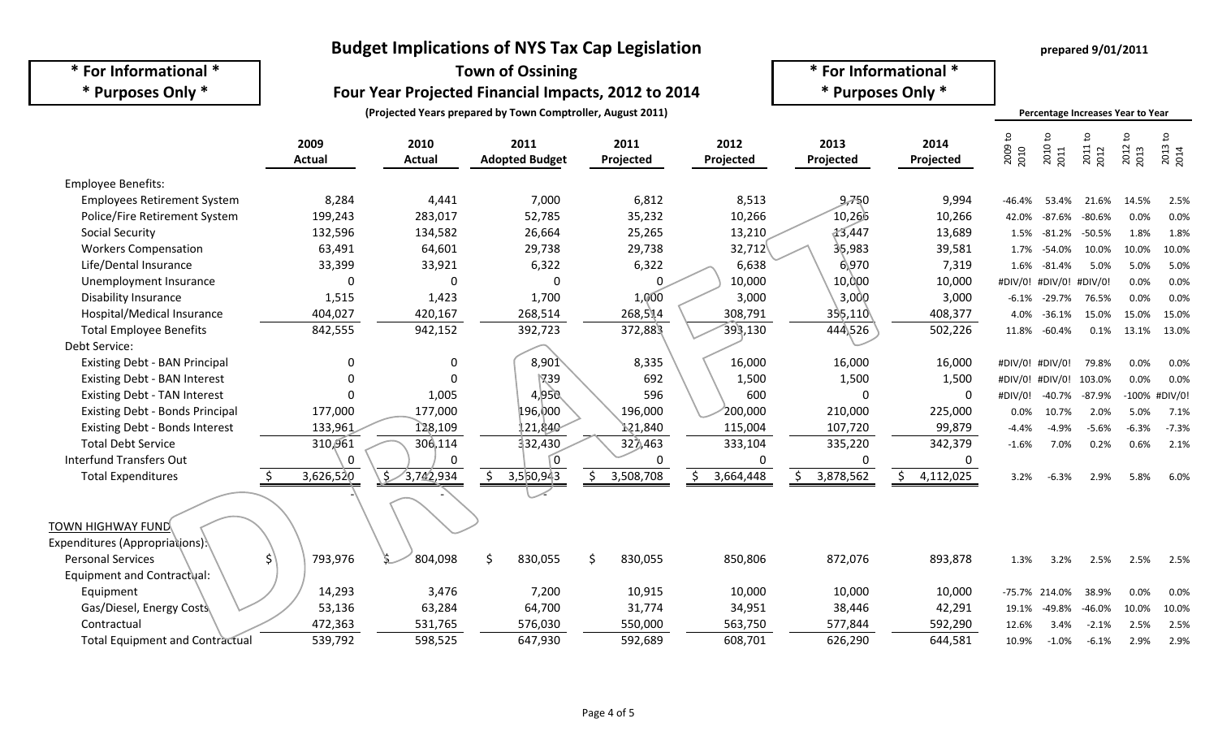| <b>Budget Implications of NYS Tax Cap Legislation</b>      |                       |                         |                                                             |                   |                   |                   |                   |                                         |                                                               | prepared 9/01/2011 |                      |  |  |  |  |
|------------------------------------------------------------|-----------------------|-------------------------|-------------------------------------------------------------|-------------------|-------------------|-------------------|-------------------|-----------------------------------------|---------------------------------------------------------------|--------------------|----------------------|--|--|--|--|
| * For Informational *                                      |                       | <b>Town of Ossining</b> | * For Informational *                                       |                   |                   |                   |                   |                                         |                                                               |                    |                      |  |  |  |  |
| * Purposes Only *                                          |                       |                         | Four Year Projected Financial Impacts, 2012 to 2014         |                   |                   | * Purposes Only * |                   |                                         |                                                               |                    |                      |  |  |  |  |
|                                                            |                       |                         | (Projected Years prepared by Town Comptroller, August 2011) |                   |                   |                   |                   |                                         | Percentage Increases Year to Year                             |                    |                      |  |  |  |  |
|                                                            |                       |                         |                                                             |                   |                   |                   |                   |                                         |                                                               |                    |                      |  |  |  |  |
|                                                            | 2009<br><b>Actual</b> | 2010<br><b>Actual</b>   | 2011<br><b>Adopted Budget</b>                               | 2011<br>Projected | 2012<br>Projected | 2013<br>Projected | 2014<br>Projected | $2009$ to $2010$<br>$\frac{2010}{2011}$ | $\begin{array}{c} \textbf{2011} \\ \textbf{2012} \end{array}$ | °,<br>2012<br>2013 | ٥,<br>2013 t<br>2014 |  |  |  |  |
| <b>Employee Benefits:</b>                                  |                       |                         |                                                             |                   |                   |                   |                   |                                         |                                                               |                    |                      |  |  |  |  |
| <b>Employees Retirement System</b>                         | 8,284                 | 4,441                   | 7,000                                                       | 6,812             | 8,513             | 9,750             | 9,994             | $-46.4%$<br>53.4%                       | 21.6%                                                         | 14.5%              | 2.5%                 |  |  |  |  |
| Police/Fire Retirement System                              | 199,243               | 283,017                 | 52,785                                                      | 35,232            | 10,266            | 10,265            | 10,266            | 42.0%<br>$-87.6%$                       | $-80.6%$                                                      | 0.0%               | 0.0%                 |  |  |  |  |
| <b>Social Security</b>                                     | 132,596               | 134,582                 | 26,664                                                      | 25,265            | 13,210            | 43,447            | 13,689            | 1.5%<br>$-81.2%$                        | -50.5%                                                        | 1.8%               | 1.8%                 |  |  |  |  |
| <b>Workers Compensation</b>                                | 63,491                | 64,601                  | 29,738                                                      | 29,738            | 32,712            | 35,983            | 39,581            | 1.7%<br>$-54.0%$                        | 10.0%                                                         | 10.0%              | 10.0%                |  |  |  |  |
| Life/Dental Insurance                                      | 33,399                | 33,921                  | 6,322                                                       | 6,322             | 6,638             | 6,970             | 7,319             | 1.6%<br>$-81.4%$                        | 5.0%                                                          | 5.0%               | 5.0%                 |  |  |  |  |
| Unemployment Insurance                                     | $\mathbf{0}$          | $\mathbf{0}$            | $\pmb{0}$                                                   | 0                 | 10,000            | 10,000            | 10,000            | #DIV/0! #DIV/0! #DIV/0!                 |                                                               | 0.0%               | 0.0%                 |  |  |  |  |
| <b>Disability Insurance</b>                                | 1,515                 | 1,423                   | 1,700                                                       | 1,000             | 3,000             | 3,000             | 3,000             | $-6.1%$<br>-29.7%                       | 76.5%                                                         | 0.0%               | 0.0%                 |  |  |  |  |
| Hospital/Medical Insurance                                 | 404,027               | 420,167                 | 268,514                                                     | 268,514           | 308,791           | 355,110           | 408,377           | 4.0%<br>$-36.1%$                        | 15.0%                                                         | 15.0%              | 15.0%                |  |  |  |  |
| <b>Total Employee Benefits</b>                             | 842,555               | 942,152                 | 392,723                                                     | 372,883           | 393,130           | 444,526           | 502,226           | 11.8%<br>$-60.4%$                       | 0.1%                                                          | 13.1%              | 13.0%                |  |  |  |  |
| Debt Service:                                              |                       |                         |                                                             |                   |                   |                   |                   |                                         |                                                               |                    |                      |  |  |  |  |
| Existing Debt - BAN Principal                              | $\Omega$              | $\Omega$                | 8,901                                                       | 8,335             | 16,000            | 16,000            | 16,000            | #DIV/0! #DIV/0!                         | 79.8%                                                         | 0.0%               | 0.0%                 |  |  |  |  |
| Existing Debt - BAN Interest                               |                       | $\Omega$                | 739                                                         | 692               | 1,500             | 1,500             | 1,500             | #DIV/0! #DIV/0!                         | 103.0%                                                        | 0.0%               | 0.0%                 |  |  |  |  |
| <b>Existing Debt - TAN Interest</b>                        |                       | 1,005                   | 4,950                                                       | 596               | 600               | 0                 | $\mathbf 0$       | #DIV/0!<br>-40.7%                       | $-87.9%$                                                      | $-100%$            | #DIV/0!              |  |  |  |  |
| Existing Debt - Bonds Principal                            | 177,000               | 177,000                 | 196,000                                                     | 196,000           | 200,000           | 210,000           | 225,000           | 10.7%<br>$0.0\%$                        | 2.0%                                                          | 5.0%               | 7.1%                 |  |  |  |  |
| Existing Debt - Bonds Interest                             | 133,961               | 128,109                 | 121,840                                                     | 121,840           | 115,004           | 107,720           | 99,879            | $-4.9%$<br>$-4.4%$                      | $-5.6%$                                                       | $-6.3%$            | $-7.3%$              |  |  |  |  |
| <b>Total Debt Service</b>                                  | 310,961               | 306,114                 | 332,430                                                     | 327,463           | 333,104           | 335,220           | 342,379           | $-1.6%$<br>7.0%                         | 0.2%                                                          | 0.6%               | 2.1%                 |  |  |  |  |
| <b>Interfund Transfers Out</b>                             |                       | $\Omega$                | 0                                                           | 0                 | $\Omega$          | 0                 | $\Omega$          |                                         |                                                               |                    |                      |  |  |  |  |
| <b>Total Expenditures</b>                                  | 3,626,520<br>\$       | $\frac{1}{2}$ 3,742,934 | 3,560,943<br>\$                                             | \$<br>3,508,708   | 3,664,448         | 3,878,562<br>\$   | 4,112,025<br>\$   | 3.2%<br>$-6.3%$                         | 2.9%                                                          | 5.8%               | 6.0%                 |  |  |  |  |
| <b>TOWN HIGHWAY FUND</b><br>Expenditures (Appropriations). |                       |                         |                                                             |                   |                   |                   |                   |                                         |                                                               |                    |                      |  |  |  |  |
| <b>Personal Services</b><br>Equipment and Contractual:     | \$<br>793,976         | 804,098                 | 830,055                                                     | Ś<br>830,055      | 850,806           | 872,076           | 893,878           | 1.3%<br>3.2%                            | 2.5%                                                          | 2.5%               | 2.5%                 |  |  |  |  |
| Equipment                                                  | 14,293                | 3,476                   | 7,200                                                       | 10,915            | 10,000            | 10,000            | 10,000            | -75.7% 214.0%                           | 38.9%                                                         | 0.0%               | 0.0%                 |  |  |  |  |
| Gas/Diesel, Energy Costs                                   | 53,136                | 63,284                  | 64,700                                                      | 31,774            | 34,951            | 38,446            | 42,291            | 19.1%<br>$-49.8%$                       | $-46.0%$                                                      | 10.0%              | 10.0%                |  |  |  |  |
| Contractual                                                | 472,363               | 531,765                 | 576,030                                                     | 550,000           | 563,750           | 577,844           | 592,290           | 12.6%<br>3.4%                           | $-2.1%$                                                       | 2.5%               | 2.5%                 |  |  |  |  |
| <b>Total Equipment and Contractual</b>                     | 539,792               | 598,525                 | 647,930                                                     | 592,689           | 608,701           | 626,290           | 644,581           | 10.9%<br>$-1.0%$                        | $-6.1%$                                                       | 2.9%               | 2.9%                 |  |  |  |  |

 $\lceil$